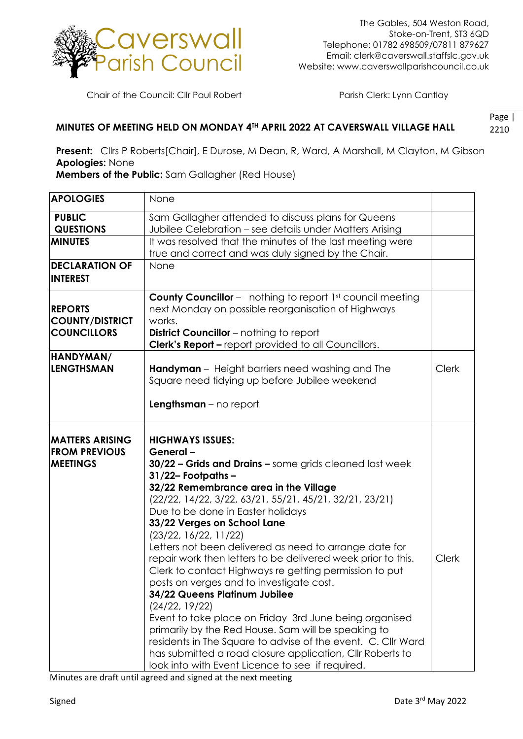

Chair of the Council: Cllr Paul Robert Parish Clerk: Lynn Cantlay

## Page | 2210 **MINUTES OF MEETING HELD ON MONDAY 4TH APRIL 2022 AT CAVERSWALL VILLAGE HALL**

**Present:** Cllrs P Roberts[Chair], E Durose, M Dean, R, Ward, A Marshall, M Clayton, M Gibson **Apologies:** None

**Members of the Public:** Sam Gallagher (Red House)

| <b>APOLOGIES</b>       | None                                                             |              |
|------------------------|------------------------------------------------------------------|--------------|
| <b>PUBLIC</b>          | Sam Gallagher attended to discuss plans for Queens               |              |
| <b>QUESTIONS</b>       | Jubilee Celebration - see details under Matters Arising          |              |
| <b>MINUTES</b>         | It was resolved that the minutes of the last meeting were        |              |
|                        |                                                                  |              |
|                        | true and correct and was duly signed by the Chair.               |              |
| <b>DECLARATION OF</b>  | None                                                             |              |
| <b>INTEREST</b>        |                                                                  |              |
|                        | <b>County Councillor</b> - nothing to report 1st council meeting |              |
| <b>REPORTS</b>         | next Monday on possible reorganisation of Highways               |              |
| <b>COUNTY/DISTRICT</b> | works.                                                           |              |
| <b>COUNCILLORS</b>     | <b>District Councillor</b> – nothing to report                   |              |
|                        |                                                                  |              |
|                        | Clerk's Report - report provided to all Councillors.             |              |
| HANDYMAN/              |                                                                  |              |
| <b>LENGTHSMAN</b>      | <b>Handyman</b> - Height barriers need washing and The           | <b>Clerk</b> |
|                        | Square need tidying up before Jubilee weekend                    |              |
|                        |                                                                  |              |
|                        | $Lengthsman - no report$                                         |              |
|                        |                                                                  |              |
| <b>MATTERS ARISING</b> | <b>HIGHWAYS ISSUES:</b>                                          |              |
| <b>FROM PREVIOUS</b>   | General-                                                         |              |
|                        |                                                                  |              |
| <b>MEETINGS</b>        | 30/22 - Grids and Drains - some grids cleaned last week          |              |
|                        | $31/22$ -Footpaths-                                              |              |
|                        | 32/22 Remembrance area in the Village                            |              |
|                        | (22/22, 14/22, 3/22, 63/21, 55/21, 45/21, 32/21, 23/21)          |              |
|                        | Due to be done in Easter holidays                                |              |
|                        | 33/22 Verges on School Lane                                      |              |
|                        | (23/22, 16/22, 11/22)                                            |              |
|                        | Letters not been delivered as need to arrange date for           |              |
|                        | repair work then letters to be delivered week prior to this.     | <b>Clerk</b> |
|                        | Clerk to contact Highways re getting permission to put           |              |
|                        | posts on verges and to investigate cost.                         |              |
|                        | 34/22 Queens Platinum Jubilee                                    |              |
|                        |                                                                  |              |
|                        | (24/22, 19/22)                                                   |              |
|                        | Event to take place on Friday 3rd June being organised           |              |
|                        | primarily by the Red House. Sam will be speaking to              |              |
|                        | residents in The Square to advise of the event. C. Cllr Ward     |              |
|                        | has submitted a road closure application, CIIr Roberts to        |              |
|                        | look into with Event Licence to see if required.                 |              |

Minutes are draft until agreed and signed at the next meeting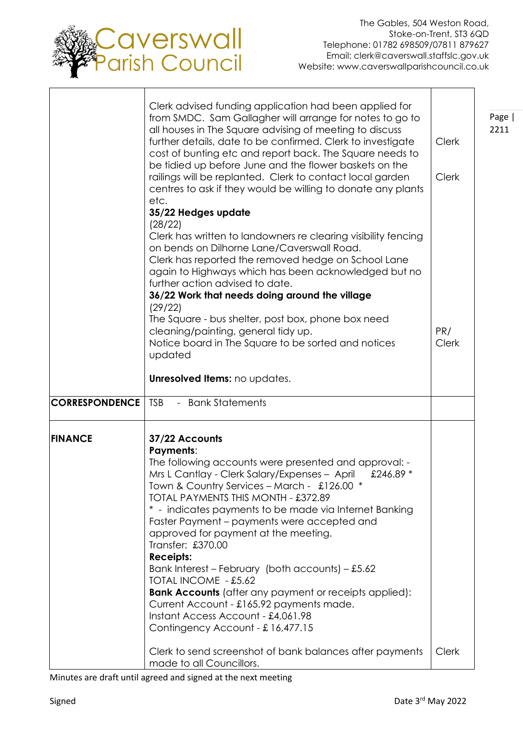

|                       | Clerk advised funding application had been applied for<br>from SMDC. Sam Gallagher will arrange for notes to go to<br>all houses in The Square advising of meeting to discuss<br>further details, date to be confirmed. Clerk to investigate<br>cost of bunting etc and report back. The Square needs to<br>be tidied up before June and the flower baskets on the<br>railings will be replanted. Clerk to contact local garden<br>centres to ask if they would be willing to donate any plants<br>etc.<br>35/22 Hedges update<br>(28/22)                                                                                                                                                                    | <b>Clerk</b><br><b>Clerk</b> | Page  <br>2211 |
|-----------------------|--------------------------------------------------------------------------------------------------------------------------------------------------------------------------------------------------------------------------------------------------------------------------------------------------------------------------------------------------------------------------------------------------------------------------------------------------------------------------------------------------------------------------------------------------------------------------------------------------------------------------------------------------------------------------------------------------------------|------------------------------|----------------|
|                       | Clerk has written to landowners re clearing visibility fencing<br>on bends on Dilhorne Lane/Caverswall Road.<br>Clerk has reported the removed hedge on School Lane<br>again to Highways which has been acknowledged but no<br>further action advised to date.<br>36/22 Work that needs doing around the village<br>(29/22)<br>The Square - bus shelter, post box, phone box need<br>cleaning/painting, general tidy up.<br>Notice board in The Square to be sorted and notices<br>updated                                                                                                                                                                                                                   | PR/<br><b>Clerk</b>          |                |
| <b>CORRESPONDENCE</b> | Unresolved Items: no updates.<br><b>TSB</b><br>- Bank Statements                                                                                                                                                                                                                                                                                                                                                                                                                                                                                                                                                                                                                                             |                              |                |
|                       |                                                                                                                                                                                                                                                                                                                                                                                                                                                                                                                                                                                                                                                                                                              |                              |                |
| <b>FINANCE</b>        | 37/22 Accounts<br><b>Payments:</b><br>The following accounts were presented and approval: -<br>Mrs L Cantlay - Clerk Salary/Expenses - April<br>£246.89 *<br>Town & Country Services - March - £126.00 *<br>TOTAL PAYMENTS THIS MONTH - £372.89<br>* - indicates payments to be made via Internet Banking<br>Faster Payment – payments were accepted and<br>approved for payment at the meeting.<br>Transfer: £370.00<br><b>Receipts:</b><br>Bank Interest - February (both accounts) - £5.62<br>TOTAL INCOME - £5.62<br><b>Bank Accounts</b> (after any payment or receipts applied):<br>Current Account - £165.92 payments made.<br>Instant Access Account - £4,061.98<br>Contingency Account - £16,477.15 |                              |                |
|                       | Clerk to send screenshot of bank balances after payments<br>made to all Councillors.                                                                                                                                                                                                                                                                                                                                                                                                                                                                                                                                                                                                                         | <b>Clerk</b>                 |                |

Minutes are draft until agreed and signed at the next meeting